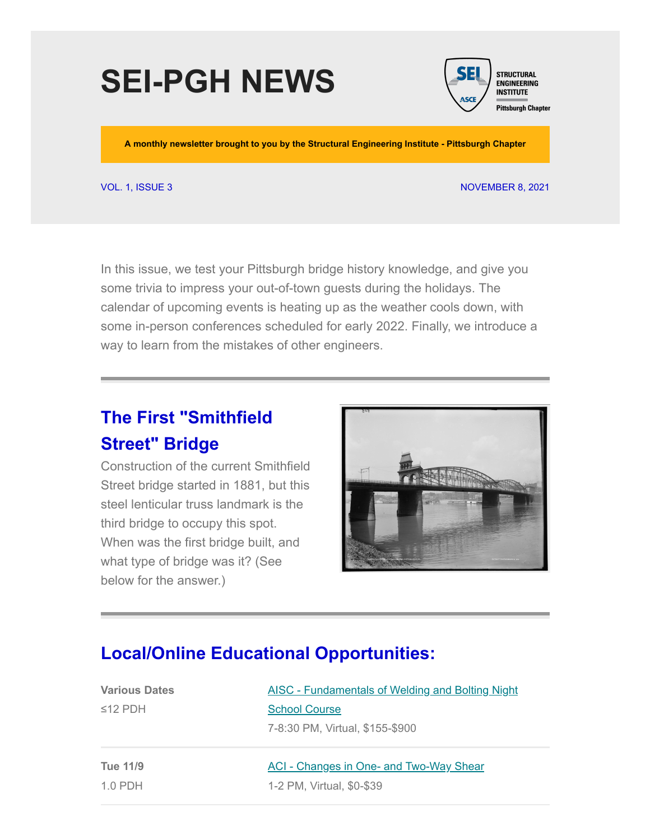# **SEI-PGH NEWS**



**A monthly newsletter brought to you by the Structural Engineering Institute - Pittsburgh Chapter**

#### VOL. 1, ISSUE 3 NOVEMBER 8, 2021

In this issue, we test your Pittsburgh bridge history knowledge, and give you some trivia to impress your out-of-town guests during the holidays. The calendar of upcoming events is heating up as the weather cools down, with some in-person conferences scheduled for early 2022. Finally, we introduce a way to learn from the mistakes of other engineers.

## **The First "Smithfield Street" Bridge**

Construction of the current Smithfield Street bridge started in 1881, but this steel lenticular truss landmark is the third bridge to occupy this spot. When was the first bridge built, and what type of bridge was it? (See below for the answer.)



#### **Local/Online Educational Opportunities:**

| <b>Various Dates</b> | <b>AISC - Fundamentals of Welding and Bolting Night</b> |
|----------------------|---------------------------------------------------------|
| $\leq$ 12 PDH        | <b>School Course</b>                                    |
|                      | 7-8:30 PM, Virtual, \$155-\$900                         |
| Tue 11/9             | <b>ACI</b> - Changes in One- and Two-Way Shear          |
| $1.0$ PDH            | 1-2 PM, Virtual, \$0-\$39                               |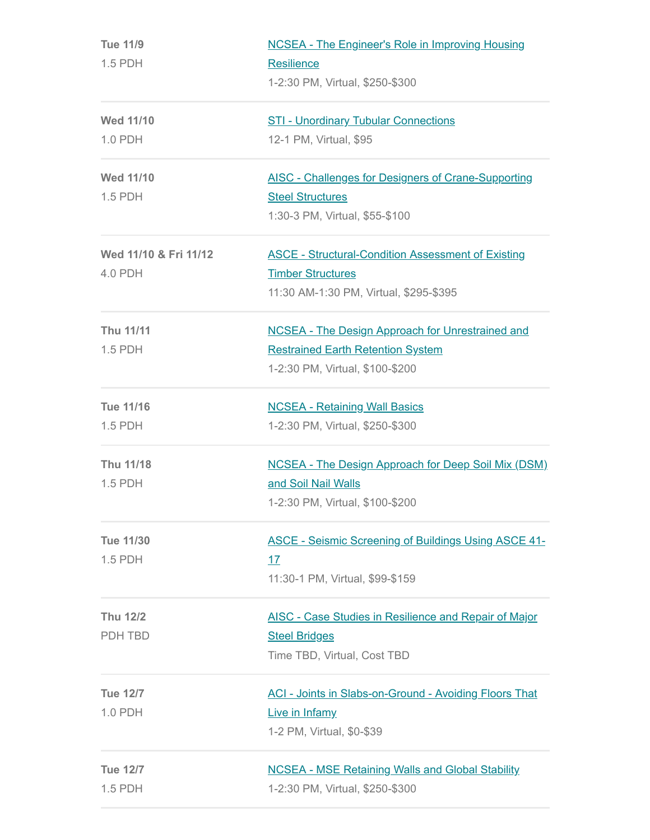| <b>Tue 11/9</b><br>1.5 PDH | <b>NCSEA - The Engineer's Role in Improving Housing</b><br><b>Resilience</b><br>1-2:30 PM, Virtual, \$250-\$300 |  |
|----------------------------|-----------------------------------------------------------------------------------------------------------------|--|
|                            |                                                                                                                 |  |
| <b>Wed 11/10</b>           |                                                                                                                 |  |
| 1.0 PDH                    | 12-1 PM, Virtual, \$95                                                                                          |  |
| <b>Wed 11/10</b>           | <b>AISC - Challenges for Designers of Crane-Supporting</b>                                                      |  |
| 1.5 PDH                    | <b>Steel Structures</b>                                                                                         |  |
|                            | 1:30-3 PM, Virtual, \$55-\$100                                                                                  |  |
| Wed 11/10 & Fri 11/12      | <b>ASCE - Structural-Condition Assessment of Existing</b>                                                       |  |
| 4.0 PDH                    | <b>Timber Structures</b>                                                                                        |  |
|                            | 11:30 AM-1:30 PM, Virtual, \$295-\$395                                                                          |  |
| <b>Thu 11/11</b>           | <b>NCSEA - The Design Approach for Unrestrained and</b>                                                         |  |
| 1.5 PDH                    | <b>Restrained Earth Retention System</b>                                                                        |  |
|                            | 1-2:30 PM, Virtual, \$100-\$200                                                                                 |  |
| <b>Tue 11/16</b>           | <b>NCSEA - Retaining Wall Basics</b>                                                                            |  |
| 1.5 PDH                    | 1-2:30 PM, Virtual, \$250-\$300                                                                                 |  |
| Thu 11/18                  | <b>NCSEA - The Design Approach for Deep Soil Mix (DSM)</b>                                                      |  |
| 1.5 PDH                    | and Soil Nail Walls                                                                                             |  |
|                            | 1-2:30 PM, Virtual, \$100-\$200                                                                                 |  |
| <b>Tue 11/30</b>           | <b>ASCE - Seismic Screening of Buildings Using ASCE 41-</b>                                                     |  |
| $1.5$ PDH                  | <u>17</u>                                                                                                       |  |
|                            | 11:30-1 PM, Virtual, \$99-\$159                                                                                 |  |
| <b>Thu 12/2</b>            | <b>AISC - Case Studies in Resilience and Repair of Major</b>                                                    |  |
| PDH TBD                    | <b>Steel Bridges</b>                                                                                            |  |
|                            | Time TBD, Virtual, Cost TBD                                                                                     |  |
| <b>Tue 12/7</b>            | <b>ACI - Joints in Slabs-on-Ground - Avoiding Floors That</b>                                                   |  |
| $1.0$ PDH                  | Live in Infamy                                                                                                  |  |
|                            | 1-2 PM, Virtual, \$0-\$39                                                                                       |  |
| <b>Tue 12/7</b>            | <b>NCSEA - MSE Retaining Walls and Global Stability</b>                                                         |  |
| 1.5 PDH                    | 1-2:30 PM, Virtual, \$250-\$300                                                                                 |  |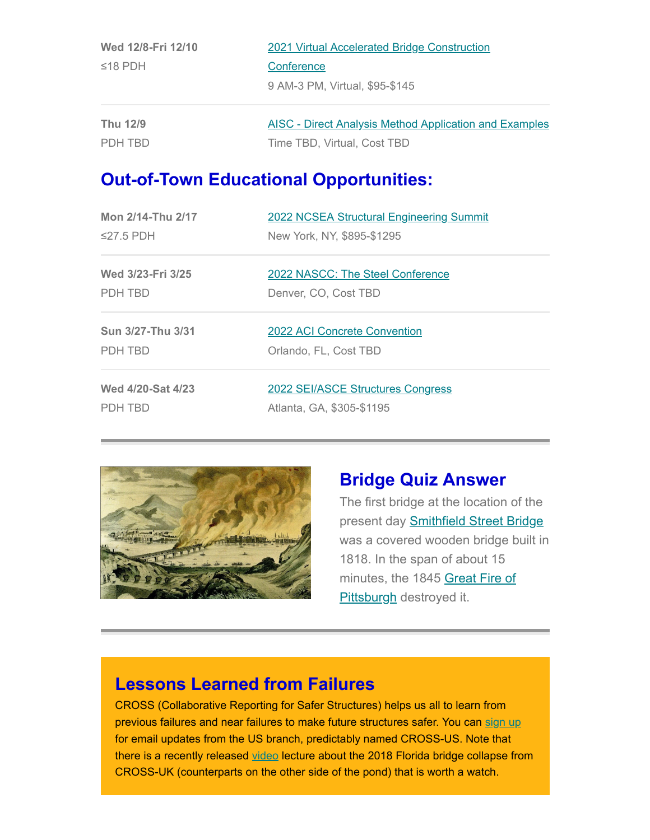| Wed 12/8-Fri 12/10 | 2021 Virtual Accelerated Bridge Construction                  |  |
|--------------------|---------------------------------------------------------------|--|
| $\leq$ 18 PDH      | Conference                                                    |  |
|                    | 9 AM-3 PM, Virtual, \$95-\$145                                |  |
| Thu 12/9           | <b>AISC</b> - Direct Analysis Method Application and Examples |  |
| PDH TBD            | Time TBD, Virtual, Cost TBD                                   |  |

### **Out-of-Town Educational Opportunities:**

| <b>Mon 2/14-Thu 2/17</b> | <b>2022 NCSEA Structural Engineering Summit</b> |
|--------------------------|-------------------------------------------------|
| $\leq$ 27.5 PDH          | New York, NY, \$895-\$1295                      |
| Wed 3/23-Fri 3/25        | 2022 NASCC: The Steel Conference                |
| PDH TBD                  | Denver, CO, Cost TBD                            |
| Sun 3/27-Thu 3/31        | 2022 ACI Concrete Convention                    |
| PDH TBD                  | Orlando, FL, Cost TBD                           |
| Wed 4/20-Sat 4/23        | 2022 SEI/ASCE Structures Congress               |
| PDH TBD                  | Atlanta, GA, \$305-\$1195                       |



#### **Bridge Quiz Answer**

The first bridge at the location of the present day **Smithfield Street Bridge** was a covered wooden bridge built in 1818. In the span of about 15 [minutes, the 1845 Great Fire of](https://en.wikipedia.org/wiki/Great_Fire_of_Pittsburgh) Pittsburgh destroyed it.

#### **Lessons Learned from Failures**

CROSS (Collaborative Reporting for Safer Structures) helps us all to learn from previous failures and near failures to make future structures safer. You can [sign up](https://www.cross-safety.org/us) for email updates from the US branch, predictably named CROSS-US. Note that there is a recently released [video](https://nam12.safelinks.protection.outlook.com/?url=https%3A%2F%2Fcross-safety.us5.list-manage.com%2Ftrack%2Fclick%3Fu%3D346c6100db76c171d562e566b%26id%3D60bee75dd9%26e%3D94bd80b49c&data=04%7C01%7CBradley.Byrom%40crowncastle.com%7Cc8582f61b84e4098badf08d9a13204ad%7C3c614fdd671142aea368f96ab9460598%7C0%7C0%7C637718058466682369%7CUnknown%7CTWFpbGZsb3d8eyJWIjoiMC4wLjAwMDAiLCJQIjoiV2luMzIiLCJBTiI6Ik1haWwiLCJXVCI6Mn0%3D%7C1000&sdata=5Iwv4qncjhZMhVYtUj9G1Z1ydXWgHQzRHSa1nPKeA00%3D&reserved=0) lecture about the 2018 Florida bridge collapse from CROSS-UK (counterparts on the other side of the pond) that is worth a watch.